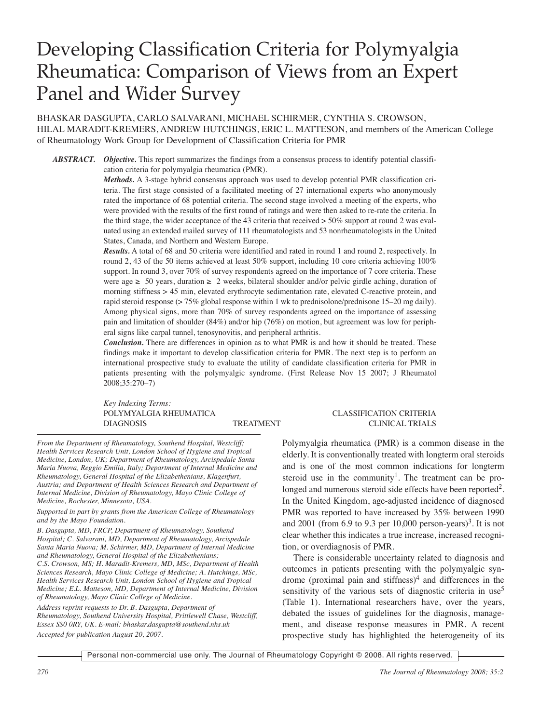# Developing Classification Criteria for Polymyalgia Rheumatica: Comparison of Views from an Expert Panel and Wider Survey

BHASKAR DASGUPTA, CARLO SALVARANI, MICHAEL SCHIRMER, CYNTHIA S. CROWSON, HILAL MARADIT-KREMERS, ANDREW HUTCHINGS, ERIC L. MATTESON, and members of the American College of Rheumatology Work Group for Development of Classification Criteria for PMR

*ABSTRACT. Objective.* This report summarizes the findings from a consensus process to identify potential classification criteria for polymyalgia rheumatica (PMR).

> *Methods.* A 3-stage hybrid consensus approach was used to develop potential PMR classification criteria. The first stage consisted of a facilitated meeting of 27 international experts who anonymously rated the importance of 68 potential criteria. The second stage involved a meeting of the experts, who were provided with the results of the first round of ratings and were then asked to re-rate the criteria. In the third stage, the wider acceptance of the 43 criteria that received > 50% support at round 2 was evaluated using an extended mailed survey of 111 rheumatologists and 53 nonrheumatologists in the United States, Canada, and Northern and Western Europe.

> *Results.* A total of 68 and 50 criteria were identified and rated in round 1 and round 2, respectively. In round 2, 43 of the 50 items achieved at least 50% support, including 10 core criteria achieving 100% support. In round 3, over 70% of survey respondents agreed on the importance of 7 core criteria. These were age  $\geq 50$  years, duration  $\geq 2$  weeks, bilateral shoulder and/or pelvic girdle aching, duration of morning stiffness > 45 min, elevated erythrocyte sedimentation rate, elevated C-reactive protein, and rapid steroid response (> 75% global response within 1 wk to prednisolone/prednisone 15–20 mg daily). Among physical signs, more than 70% of survey respondents agreed on the importance of assessing pain and limitation of shoulder (84%) and/or hip (76%) on motion, but agreement was low for peripheral signs like carpal tunnel, tenosynovitis, and peripheral arthritis.

> *Conclusion.* There are differences in opinion as to what PMR is and how it should be treated. These findings make it important to develop classification criteria for PMR. The next step is to perform an international prospective study to evaluate the utility of candidate classification criteria for PMR in patients presenting with the polymyalgic syndrome. (First Release Nov 15 2007; J Rheumatol 2008;35:270–7)

> *Key Indexing Terms:* POLYMYALGIA RHEUMATICA CLASSIFICATION CRITERIA DIAGNOSIS TREATMENT CLINICAL TRIALS

*From the Department of Rheumatology, Southend Hospital, Westcliff; Health Services Research Unit, London School of Hygiene and Tropical Medicine, London, UK; Department of Rheumatology, Arcispedale Santa Maria Nuova, Reggio Emilia, Italy; Department of Internal Medicine and Rheumatology, General Hospital of the Elizabethenians, Klagenfurt, Austria; and Department of Health Sciences Research and Department of Internal Medicine, Division of Rheumatology, Mayo Clinic College of Medicine, Rochester, Minnesota, USA.*

*Supported in part by grants from the American College of Rheumatology and by the Mayo Foundation.*

*B. Dasgupta, MD, FRCP, Department of Rheumatology, Southend Hospital; C. Salvarani, MD, Department of Rheumatology, Arcispedale Santa Maria Nuova; M. Schirmer, MD, Department of Internal Medicine and Rheumatology, General Hospital of the Elizabethenians; C.S. Crowson, MS; H. Maradit-Kremers, MD, MSc, Department of Health Sciences Research, Mayo Clinic College of Medicine; A. Hutchings, MSc, Health Services Research Unit, London School of Hygiene and Tropical Medicine; E.L. Matteson, MD, Department of Internal Medicine, Division of Rheumatology, Mayo Clinic College of Medicine.*

*Address reprint requests to Dr. B. Dasgupta, Department of Rheumatology, Southend University Hospital, Prittlewell Chase, Westcliff, Essex SS0 0RY, UK. E-mail: bhaskar.dasgupta@southend.nhs.uk Accepted for publication August 20, 2007.*

Polymyalgia rheumatica (PMR) is a common disease in the elderly. It is conventionally treated with longterm oral steroids and is one of the most common indications for longterm steroid use in the community<sup>1</sup>. The treatment can be prolonged and numerous steroid side effects have been reported<sup>2</sup>. In the United Kingdom, age-adjusted incidence of diagnosed PMR was reported to have increased by 35% between 1990 and 2001 (from  $6.9$  to  $9.3$  per  $10,000$  person-years)<sup>3</sup>. It is not clear whether this indicates a true increase, increased recognition, or overdiagnosis of PMR.

There is considerable uncertainty related to diagnosis and outcomes in patients presenting with the polymyalgic syndrome (proximal pain and stiffness) $4$  and differences in the sensitivity of the various sets of diagnostic criteria in use<sup>5</sup> (Table 1). International researchers have, over the years, debated the issues of guidelines for the diagnosis, management, and disease response measures in PMR. A recent prospective study has highlighted the heterogeneity of its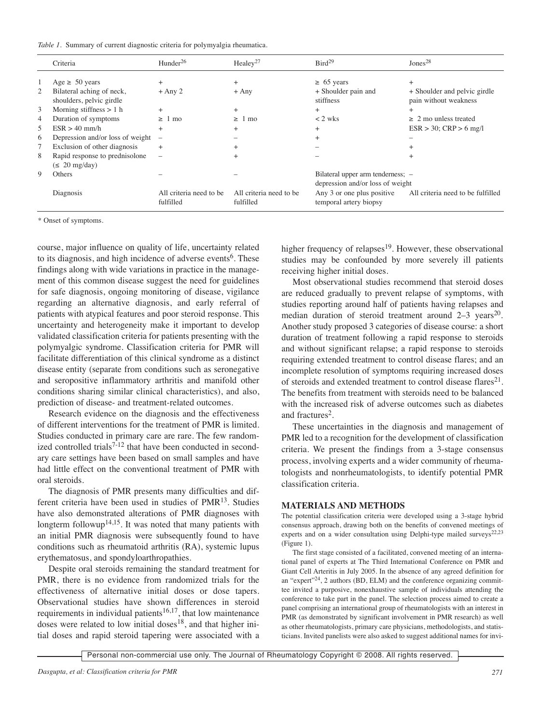|  |  |  |  |  |  | Table 1. Summary of current diagnostic criteria for polymyalgia rheumatica. |
|--|--|--|--|--|--|-----------------------------------------------------------------------------|
|--|--|--|--|--|--|-----------------------------------------------------------------------------|

|    | Criteria                                              | Hunder <sup>26</sup>                 | Healey <sup>27</sup>                 | Bird <sup>29</sup>                                                    | Jones <sup>28</sup>                                   |
|----|-------------------------------------------------------|--------------------------------------|--------------------------------------|-----------------------------------------------------------------------|-------------------------------------------------------|
|    | Age $\geq 50$ years                                   | $^{+}$                               | $^+$                                 | $\geq 65$ years                                                       | $^{+}$                                                |
| 2  | Bilateral aching of neck,<br>shoulders, pelvic girdle | $+$ Any 2                            | $+$ Any                              | + Shoulder pain and<br>stiffness                                      | + Shoulder and pelvic girdle<br>pain without weakness |
| 3  | Morning stiffness $> 1$ h                             |                                      | $^+$                                 | $\ddot{}$                                                             |                                                       |
| 4  | Duration of symptoms                                  | mo<br>$\geq$                         | mo<br>>1                             | $<$ 2 wks                                                             | $\geq$ 2 mo unless treated                            |
| 5. | $ESR > 40$ mm/h                                       | $^{+}$                               | $^+$                                 | $\ddot{}$                                                             | $ESR > 30$ ; $CRP > 6$ mg/l                           |
| 6  | Depression and/or loss of weight                      | $\overline{\phantom{a}}$             |                                      |                                                                       |                                                       |
|    | Exclusion of other diagnosis                          | $^{+}$                               |                                      |                                                                       |                                                       |
| 8  | Rapid response to prednisolone                        |                                      | $^+$                                 |                                                                       |                                                       |
|    | $(\leq 20 \text{ mg/day})$                            |                                      |                                      |                                                                       |                                                       |
| 9  | Others                                                |                                      |                                      | Bilateral upper arm tenderness; -<br>depression and/or loss of weight |                                                       |
|    | Diagnosis                                             | All criteria need to be<br>fulfilled | All criteria need to be<br>fulfilled | Any 3 or one plus positive<br>temporal artery biopsy                  | All criteria need to be fulfilled                     |

\* Onset of symptoms.

course, major influence on quality of life, uncertainty related to its diagnosis, and high incidence of adverse events<sup>6</sup>. These findings along with wide variations in practice in the management of this common disease suggest the need for guidelines for safe diagnosis, ongoing monitoring of disease, vigilance regarding an alternative diagnosis, and early referral of patients with atypical features and poor steroid response. This uncertainty and heterogeneity make it important to develop validated classification criteria for patients presenting with the polymyalgic syndrome. Classification criteria for PMR will facilitate differentiation of this clinical syndrome as a distinct disease entity (separate from conditions such as seronegative and seropositive inflammatory arthritis and manifold other conditions sharing similar clinical characteristics), and also, prediction of disease- and treatment-related outcomes.

Research evidence on the diagnosis and the effectiveness of different interventions for the treatment of PMR is limited. Studies conducted in primary care are rare. The few randomized controlled trials $7-12$  that have been conducted in secondary care settings have been based on small samples and have had little effect on the conventional treatment of PMR with oral steroids.

The diagnosis of PMR presents many difficulties and different criteria have been used in studies of PMR13. Studies have also demonstrated alterations of PMR diagnoses with longterm followup<sup>14,15</sup>. It was noted that many patients with an initial PMR diagnosis were subsequently found to have conditions such as rheumatoid arthritis (RA), systemic lupus erythematosus, and spondyloarthropathies.

Despite oral steroids remaining the standard treatment for PMR, there is no evidence from randomized trials for the effectiveness of alternative initial doses or dose tapers. Observational studies have shown differences in steroid requirements in individual patients<sup>16,17</sup>, that low maintenance doses were related to low initial doses<sup>18</sup>, and that higher initial doses and rapid steroid tapering were associated with a

higher frequency of relapses<sup>19</sup>. However, these observational studies may be confounded by more severely ill patients receiving higher initial doses.

Most observational studies recommend that steroid doses are reduced gradually to prevent relapse of symptoms, with studies reporting around half of patients having relapses and median duration of steroid treatment around  $2-3$  years<sup>20</sup>. Another study proposed 3 categories of disease course: a short duration of treatment following a rapid response to steroids and without significant relapse; a rapid response to steroids requiring extended treatment to control disease flares; and an incomplete resolution of symptoms requiring increased doses of steroids and extended treatment to control disease flares<sup>21</sup>. The benefits from treatment with steroids need to be balanced with the increased risk of adverse outcomes such as diabetes and fractures<sup>2</sup>.

These uncertainties in the diagnosis and management of PMR led to a recognition for the development of classification criteria. We present the findings from a 3-stage consensus process, involving experts and a wider community of rheumatologists and nonrheumatologists, to identify potential PMR classification criteria.

#### **MATERIALS AND METHODS**

The potential classification criteria were developed using a 3-stage hybrid consensus approach, drawing both on the benefits of convened meetings of experts and on a wider consultation using Delphi-type mailed surveys<sup>22,23</sup> (Figure 1).

The first stage consisted of a facilitated, convened meeting of an international panel of experts at The Third International Conference on PMR and Giant Cell Arteritis in July 2005. In the absence of any agreed definition for an "expert" $24$ , 2 authors (BD, ELM) and the conference organizing committee invited a purposive, nonexhaustive sample of individuals attending the conference to take part in the panel. The selection process aimed to create a panel comprising an international group of rheumatologists with an interest in PMR (as demonstrated by significant involvement in PMR research) as well as other rheumatologists, primary care physicians, methodologists, and statisticians. Invited panelists were also asked to suggest additional names for invi-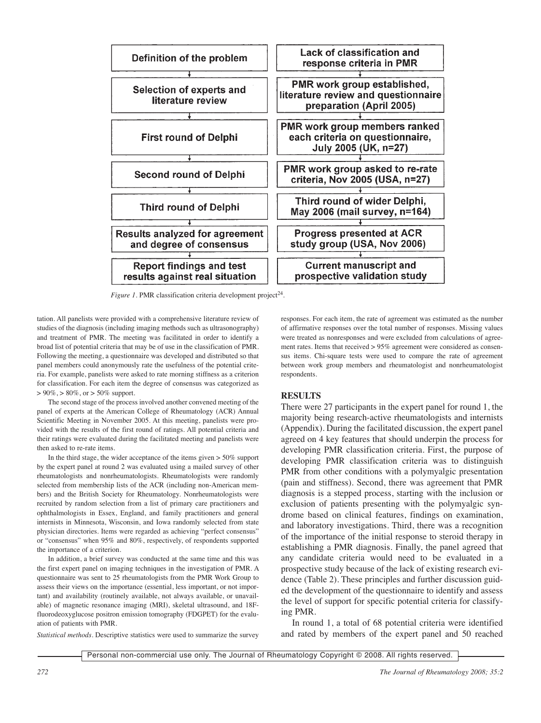

*Figure 1.* PMR classification criteria development project 24.

tation. All panelists were provided with a comprehensive literature review of studies of the diagnosis (including imaging methods such as ultrasonography) and treatment of PMR. The meeting was facilitated in order to identify a broad list of potential criteria that may be of use in the classification of PMR. Following the meeting, a questionnaire was developed and distributed so that panel members could anonymously rate the usefulness of the potential criteria. For example, panelists were asked to rate morning stiffness as a criterion for classification. For each item the degree of consensus was categorized as  $> 90\%$ ,  $> 80\%$ , or  $> 50\%$  support.

The second stage of the process involved another convened meeting of the panel of experts at the American College of Rheumatology (ACR) Annual Scientific Meeting in November 2005. At this meeting, panelists were provided with the results of the first round of ratings. All potential criteria and their ratings were evaluated during the facilitated meeting and panelists were then asked to re-rate items.

In the third stage, the wider acceptance of the items given > 50% support by the expert panel at round 2 was evaluated using a mailed survey of other rheumatologists and nonrheumatologists. Rheumatologists were randomly selected from membership lists of the ACR (including non-American members) and the British Society for Rheumatology. Nonrheumatologists were recruited by random selection from a list of primary care practitioners and ophthalmologists in Essex, England, and family practitioners and general internists in Minnesota, Wisconsin, and Iowa randomly selected from state physician directories. Items were regarded as achieving "perfect consensus" or "consensus" when 95% and 80%, respectively, of respondents supported the importance of a criterion.

In addition, a brief survey was conducted at the same time and this was the first expert panel on imaging techniques in the investigation of PMR. A questionnaire was sent to 25 rheumatologists from the PMR Work Group to assess their views on the importance (essential, less important, or not important) and availability (routinely available, not always available, or unavailable) of magnetic resonance imaging (MRI), skeletal ultrasound, and 18Ffluorodeoxyglucose positron emission tomography (FDGPET) for the evaluation of patients with PMR.

responses. For each item, the rate of agreement was estimated as the number of affirmative responses over the total number of responses. Missing values were treated as nonresponses and were excluded from calculations of agreement rates. Items that received > 95% agreement were considered as consensus items. Chi-square tests were used to compare the rate of agreement between work group members and rheumatologist and nonrheumatologist respondents.

# **RESULTS**

There were 27 participants in the expert panel for round 1, the majority being research-active rheumatologists and internists (Appendix). During the facilitated discussion, the expert panel agreed on 4 key features that should underpin the process for developing PMR classification criteria. First, the purpose of developing PMR classification criteria was to distinguish PMR from other conditions with a polymyalgic presentation (pain and stiffness). Second, there was agreement that PMR diagnosis is a stepped process, starting with the inclusion or exclusion of patients presenting with the polymyalgic syndrome based on clinical features, findings on examination, and laboratory investigations. Third, there was a recognition of the importance of the initial response to steroid therapy in establishing a PMR diagnosis. Finally, the panel agreed that any candidate criteria would need to be evaluated in a prospective study because of the lack of existing research evidence (Table 2). These principles and further discussion guided the development of the questionnaire to identify and assess the level of support for specific potential criteria for classifying PMR.

In round 1, a total of 68 potential criteria were identified and rated by members of the expert panel and 50 reached

*Statistical methods.* Descriptive statistics were used to summarize the survey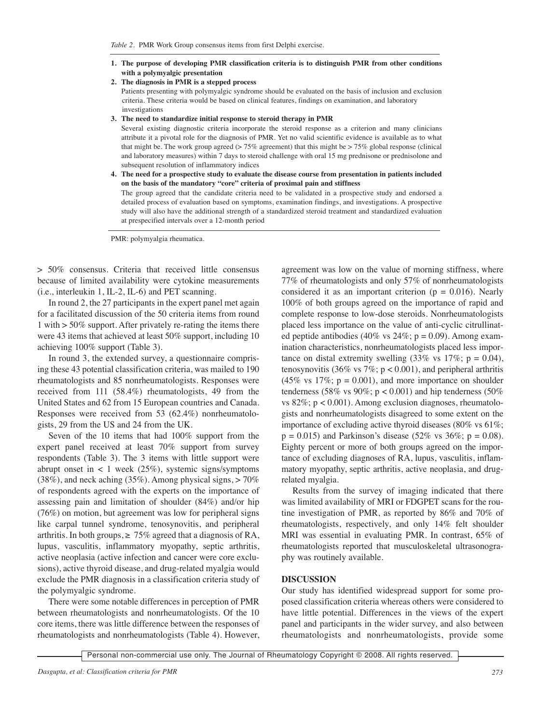- **1. The purpose of developing PMR classification criteria is to distinguish PMR from other conditions with a polymyalgic presentation**
- **2. The diagnosis in PMR is a stepped process**

Patients presenting with polymyalgic syndrome should be evaluated on the basis of inclusion and exclusion criteria. These criteria would be based on clinical features, findings on examination, and laboratory investigations

**3. The need to standardize initial response to steroid therapy in PMR**

Several existing diagnostic criteria incorporate the steroid response as a criterion and many clinicians attribute it a pivotal role for the diagnosis of PMR. Yet no valid scientific evidence is available as to what that might be. The work group agreed  $(> 75\%$  agreement) that this might be  $> 75\%$  global response (clinical and laboratory measures) within 7 days to steroid challenge with oral 15 mg prednisone or prednisolone and subsequent resolution of inflammatory indices

**4. The need for a prospective study to evaluate the disease course from presentation in patients included on the basis of the mandatory "core" criteria of proximal pain and stiffness**

The group agreed that the candidate criteria need to be validated in a prospective study and endorsed a detailed process of evaluation based on symptoms, examination findings, and investigations. A prospective study will also have the additional strength of a standardized steroid treatment and standardized evaluation at prespecified intervals over a 12-month period

PMR: polymyalgia rheumatica.

> 50% consensus. Criteria that received little consensus because of limited availability were cytokine measurements (i.e., interleukin 1, IL-2, IL-6) and PET scanning.

In round 2, the 27 participants in the expert panel met again for a facilitated discussion of the 50 criteria items from round 1 with > 50% support. After privately re-rating the items there were 43 items that achieved at least 50% support, including 10 achieving 100% support (Table 3).

In round 3, the extended survey, a questionnaire comprising these 43 potential classification criteria, was mailed to 190 rheumatologists and 85 nonrheumatologists. Responses were received from 111 (58.4%) rheumatologists, 49 from the United States and 62 from 15 European countries and Canada. Responses were received from 53 (62.4%) nonrheumatologists, 29 from the US and 24 from the UK.

Seven of the 10 items that had 100% support from the expert panel received at least 70% support from survey respondents (Table 3). The 3 items with little support were abrupt onset in  $\lt 1$  week (25%), systemic signs/symptoms  $(38\%)$ , and neck aching  $(35\%)$ . Among physical signs,  $> 70\%$ of respondents agreed with the experts on the importance of assessing pain and limitation of shoulder (84%) and/or hip (76%) on motion, but agreement was low for peripheral signs like carpal tunnel syndrome, tenosynovitis, and peripheral arthritis. In both groups,  $\geq 75\%$  agreed that a diagnosis of RA, lupus, vasculitis, inflammatory myopathy, septic arthritis, active neoplasia (active infection and cancer were core exclusions), active thyroid disease, and drug-related myalgia would exclude the PMR diagnosis in a classification criteria study of the polymyalgic syndrome.

There were some notable differences in perception of PMR between rheumatologists and nonrheumatologists. Of the 10 core items, there was little difference between the responses of rheumatologists and nonrheumatologists (Table 4). However, agreement was low on the value of morning stiffness, where 77% of rheumatologists and only 57% of nonrheumatologists considered it as an important criterion ( $p = 0.016$ ). Nearly 100% of both groups agreed on the importance of rapid and complete response to low-dose steroids. Nonrheumatologists placed less importance on the value of anti-cyclic citrullinated peptide antibodies (40% vs  $24\%$ ; p = 0.09). Among examination characteristics, nonrheumatologists placed less importance on distal extremity swelling  $(33\% \text{ vs } 17\%; \text{ p} = 0.04)$ , tenosynovitis (36% vs 7%;  $p < 0.001$ ), and peripheral arthritis (45% vs  $17\%$ ; p = 0.001), and more importance on shoulder tenderness (58% vs 90%;  $p < 0.001$ ) and hip tenderness (50%) vs  $82\%$ ;  $p < 0.001$ ). Among exclusion diagnoses, rheumatologists and nonrheumatologists disagreed to some extent on the importance of excluding active thyroid diseases (80% vs 61%;  $p = 0.015$ ) and Parkinson's disease (52% vs 36%;  $p = 0.08$ ). Eighty percent or more of both groups agreed on the importance of excluding diagnoses of RA, lupus, vasculitis, inflammatory myopathy, septic arthritis, active neoplasia, and drugrelated myalgia.

Results from the survey of imaging indicated that there was limited availability of MRI or FDGPET scans for the routine investigation of PMR, as reported by 86% and 70% of rheumatologists, respectively, and only 14% felt shoulder MRI was essential in evaluating PMR. In contrast, 65% of rheumatologists reported that musculoskeletal ultrasonography was routinely available.

### **DISCUSSION**

Our study has identified widespread support for some proposed classification criteria whereas others were considered to have little potential. Differences in the views of the expert panel and participants in the wider survey, and also between rheumatologists and nonrheumatologists, provide some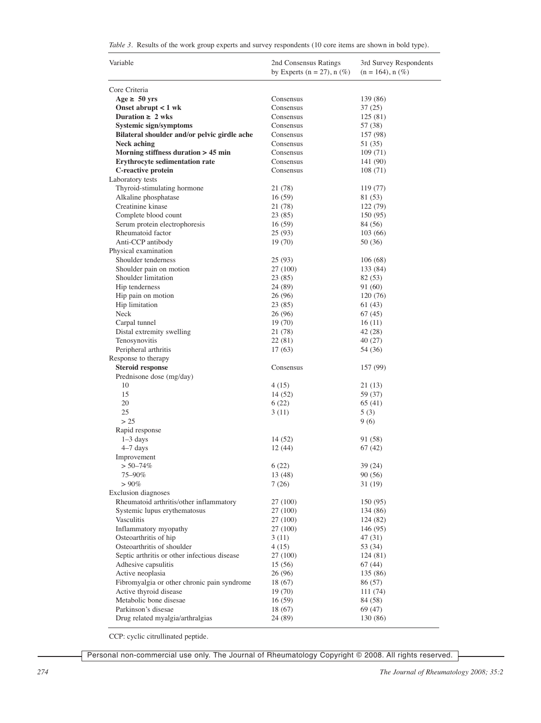|  |  |  |  |  |  | Table 3. Results of the work group experts and survey respondents (10 core items are shown in bold type). |  |  |  |  |  |
|--|--|--|--|--|--|-----------------------------------------------------------------------------------------------------------|--|--|--|--|--|
|--|--|--|--|--|--|-----------------------------------------------------------------------------------------------------------|--|--|--|--|--|

| Variable                                     | 2nd Consensus Ratings<br>by Experts ( $n = 27$ ), $n$ (%) | 3rd Survey Respondents<br>$(n = 164)$ , n $(\%)$ |
|----------------------------------------------|-----------------------------------------------------------|--------------------------------------------------|
| Core Criteria                                |                                                           |                                                  |
| Age $\geq 50$ yrs                            | Consensus                                                 | 139 (86)                                         |
| Onset abrupt $< 1$ wk                        | Consensus                                                 | 37(25)                                           |
| Duration $\geq 2$ wks                        | Consensus                                                 | 125(81)                                          |
| Systemic sign/symptoms                       | Consensus                                                 | 57 (38)                                          |
| Bilateral shoulder and/or pelvic girdle ache | Consensus                                                 | 157 (98)                                         |
| <b>Neck aching</b>                           | Consensus                                                 | 51 (35)                                          |
| Morning stiffness duration > 45 min          | Consensus                                                 | 109(71)                                          |
| Erythrocyte sedimentation rate               | Consensus                                                 | 141 (90)                                         |
| C-reactive protein                           | Consensus                                                 | 108(71)                                          |
| Laboratory tests                             |                                                           |                                                  |
| Thyroid-stimulating hormone                  | 21 (78)                                                   | 119 (77)                                         |
| Alkaline phosphatase                         | 16(59)                                                    | 81 (53)                                          |
| Creatinine kinase                            | 21 (78)                                                   | 122 (79)                                         |
| Complete blood count                         | 23 (85)                                                   | 150 (95)                                         |
| Serum protein electrophoresis                | 16(59)                                                    | 84 (56)                                          |
| Rheumatoid factor                            | 25(93)                                                    | 103(66)                                          |
| Anti-CCP antibody                            |                                                           |                                                  |
| Physical examination                         | 19(70)                                                    | 50 (36)                                          |
| Shoulder tenderness                          |                                                           |                                                  |
|                                              | 25 (93)                                                   | 106(68)                                          |
| Shoulder pain on motion                      | 27 (100)                                                  | 133 (84)                                         |
| Shoulder limitation                          | 23 (85)                                                   | 82 (53)                                          |
| Hip tenderness                               | 24 (89)                                                   | 91 (60)                                          |
| Hip pain on motion                           | 26 (96)                                                   | 120 (76)                                         |
| Hip limitation                               | 23(85)                                                    | 61 (43)                                          |
| Neck                                         | 26 (96)                                                   | 67 (45)                                          |
| Carpal tunnel                                | 19 (70)                                                   | 16(11)                                           |
| Distal extremity swelling                    | 21 (78)                                                   | 42 (28)                                          |
| Tenosynovitis                                | 22(81)                                                    | 40(27)                                           |
| Peripheral arthritis                         | 17(63)                                                    | 54 (36)                                          |
| Response to therapy                          |                                                           |                                                  |
| <b>Steroid response</b>                      | Consensus                                                 | 157 (99)                                         |
| Prednisone dose (mg/day)                     |                                                           |                                                  |
| 10                                           | 4(15)                                                     | 21 (13)                                          |
| 15                                           | 14 (52)                                                   | 59 (37)                                          |
| 20                                           | 6(22)                                                     | 65 (41)                                          |
| 25                                           | 3(11)                                                     | 5(3)                                             |
| > 25                                         |                                                           | 9(6)                                             |
| Rapid response                               |                                                           |                                                  |
| $1-3$ days                                   | 14 (52)                                                   | 91 (58)                                          |
| $4-7$ days                                   | 12 (44)                                                   | 67 (42)                                          |
| Improvement                                  |                                                           |                                                  |
| $> 50 - 74\%$                                | 6(22)                                                     | 39 (24)                                          |
| 75–90%                                       | 13 (48)                                                   | 90(56)                                           |
| $> 90\%$                                     | 7(26)                                                     | 31(19)                                           |
| <b>Exclusion</b> diagnoses                   |                                                           |                                                  |
| Rheumatoid arthritis/other inflammatory      | 27 (100)                                                  | 150 (95)                                         |
| Systemic lupus erythematosus                 | 27 (100)                                                  | 134 (86)                                         |
| Vasculitis                                   | 27 (100)                                                  | 124 (82)                                         |
| Inflammatory myopathy                        | 27 (100)                                                  | 146 (95)                                         |
| Osteoarthritis of hip                        | 3(11)                                                     | 47(31)                                           |
| Osteoarthritis of shoulder                   | 4(15)                                                     | 53 (34)                                          |
| Septic arthritis or other infectious disease | 27 (100)                                                  | 124(81)                                          |
| Adhesive capsulitis                          | 15(56)                                                    | 67(44)                                           |
| Active neoplasia                             | 26 (96)                                                   | 135 (86)                                         |
| Fibromyalgia or other chronic pain syndrome  | 18 (67)                                                   | 86 (57)                                          |
| Active thyroid disease                       | 19 (70)                                                   | 111 (74)                                         |
| Metabolic bone disesae                       | 16(59)                                                    | 84 (58)                                          |
| Parkinson's disesae                          | 18 (67)                                                   | 69 (47)                                          |
| Drug related myalgia/arthralgias             | 24 (89)                                                   | 130 (86)                                         |
|                                              |                                                           |                                                  |

CCP: cyclic citrullinated peptide.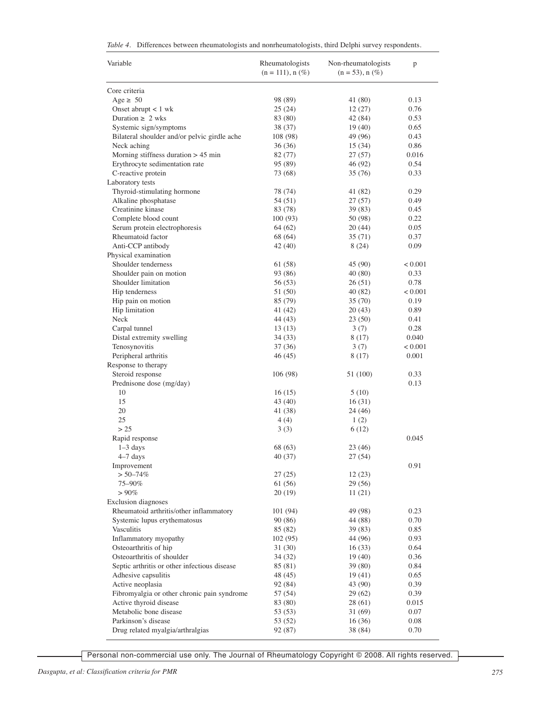|  |  |  | Table 4. Differences between rheumatologists and nonrheumatologists, third Delphi survey respondents. |  |  |  |  |  |
|--|--|--|-------------------------------------------------------------------------------------------------------|--|--|--|--|--|
|--|--|--|-------------------------------------------------------------------------------------------------------|--|--|--|--|--|

| Variable                                       | Rheumatologists<br>$(n = 111), n (\%)$ | Non-rheumatologists<br>$(n = 53)$ , n $(\%)$ | p               |
|------------------------------------------------|----------------------------------------|----------------------------------------------|-----------------|
| Core criteria                                  |                                        |                                              |                 |
| Age $\geq 50$                                  | 98 (89)                                | 41 (80)                                      | 0.13            |
| Onset abrupt $< 1$ wk                          | 25(24)                                 | 12(27)                                       | 0.76            |
| Duration $\geq 2$ wks                          | 83 (80)                                | 42 (84)                                      | 0.53            |
| Systemic sign/symptoms                         | 38 (37)                                | 19(40)                                       | 0.65            |
| Bilateral shoulder and/or pelvic girdle ache   | 108 (98)                               | 49 (96)                                      | 0.43            |
| Neck aching                                    | 36 (36)                                | 15(34)                                       | 0.86            |
| Morning stiffness duration $> 45$ min          | 82 (77)                                | 27(57)                                       | 0.016           |
| Erythrocyte sedimentation rate                 | 95 (89)                                | 46 (92)                                      | 0.54            |
| C-reactive protein                             | 73 (68)                                | 35 (76)                                      | 0.33            |
| Laboratory tests                               |                                        |                                              |                 |
| Thyroid-stimulating hormone                    | 78 (74)                                | 41 (82)                                      | 0.29            |
| Alkaline phosphatase                           | 54 (51)                                | 27(57)                                       | 0.49            |
| Creatinine kinase                              | 83 (78)                                | 39(83)                                       | 0.45            |
| Complete blood count                           | 100(93)                                | 50 (98)                                      | 0.22            |
| Serum protein electrophoresis                  | 64 (62)                                | 20(44)                                       | 0.05            |
| Rheumatoid factor                              | 68 (64)                                | 35(71)                                       | 0.37            |
| Anti-CCP antibody                              | 42 (40)                                | 8(24)                                        | 0.09            |
| Physical examination                           |                                        |                                              |                 |
| Shoulder tenderness                            | 61 (58)                                | 45 (90)                                      | < 0.001         |
| Shoulder pain on motion<br>Shoulder limitation | 93 (86)                                | 40(80)                                       | 0.33            |
| Hip tenderness                                 | 56 (53)                                | 26(51)                                       | 0.78            |
| Hip pain on motion                             | 51 (50)<br>85 (79)                     | 40 (82)<br>35(70)                            | < 0.001<br>0.19 |
| Hip limitation                                 | 41 (42)                                | 20(43)                                       | 0.89            |
| Neck                                           | 44 (43)                                | 23(50)                                       | 0.41            |
| Carpal tunnel                                  | 13(13)                                 | 3(7)                                         | 0.28            |
| Distal extremity swelling                      | 34 (33)                                | 8 (17)                                       | 0.040           |
| Tenosynovitis                                  | 37 (36)                                | 3(7)                                         | < 0.001         |
| Peripheral arthritis                           | 46 (45)                                | 8(17)                                        | 0.001           |
| Response to therapy                            |                                        |                                              |                 |
| Steroid response                               | 106 (98)                               | 51 (100)                                     | 0.33            |
| Prednisone dose (mg/day)                       |                                        |                                              | 0.13            |
| 10                                             | 16(15)                                 | 5(10)                                        |                 |
| 15                                             | 43 (40)                                | 16(31)                                       |                 |
| 20                                             | 41 (38)                                | 24 (46)                                      |                 |
| 25                                             | 4(4)                                   | 1(2)                                         |                 |
| > 25                                           | 3(3)                                   | 6(12)                                        |                 |
| Rapid response                                 |                                        |                                              | 0.045           |
| $1-3$ days                                     | 68 (63)                                | 23 (46)                                      |                 |
| $4-7$ days                                     | 40 (37)                                | 27(54)                                       |                 |
| Improvement                                    |                                        |                                              | 0.91            |
| $> 50 - 74\%$                                  | 27 (25)                                | 12(23)                                       |                 |
| 75-90%                                         | 61 (56)                                | 29 (56)                                      |                 |
| $> 90\%$                                       | 20(19)                                 | 11(21)                                       |                 |
| Exclusion diagnoses                            |                                        |                                              |                 |
| Rheumatoid arthritis/other inflammatory        | 101 (94)                               | 49 (98)                                      | 0.23            |
| Systemic lupus erythematosus                   | 90 (86)                                | 44 (88)                                      | 0.70            |
| Vasculitis                                     | 85 (82)                                | 39(83)                                       | 0.85            |
| Inflammatory myopathy                          | 102(95)                                | 44 (96)                                      | 0.93            |
| Osteoarthritis of hip                          | 31 (30)                                | 16(33)                                       | 0.64            |
| Osteoarthritis of shoulder                     | 34(32)                                 | 19(40)                                       | 0.36            |
| Septic arthritis or other infectious disease   | 85 (81)                                | 39 (80)                                      | 0.84            |
| Adhesive capsulitis                            | 48 (45)                                | 19(41)                                       | 0.65            |
| Active neoplasia                               | 92 (84)                                | 43 (90)                                      | 0.39            |
| Fibromyalgia or other chronic pain syndrome    | 57 (54)                                | 29(62)                                       | 0.39            |
| Active thyroid disease                         | 83 (80)                                | 28 (61)                                      | 0.015           |
| Metabolic bone disease                         | 53 (53)                                | 31 (69)                                      | 0.07            |
| Parkinson's disease                            | 53 (52)                                | 16(36)                                       | 0.08            |
| Drug related myalgia/arthralgias               | 92 (87)                                | 38 (84)                                      | 0.70            |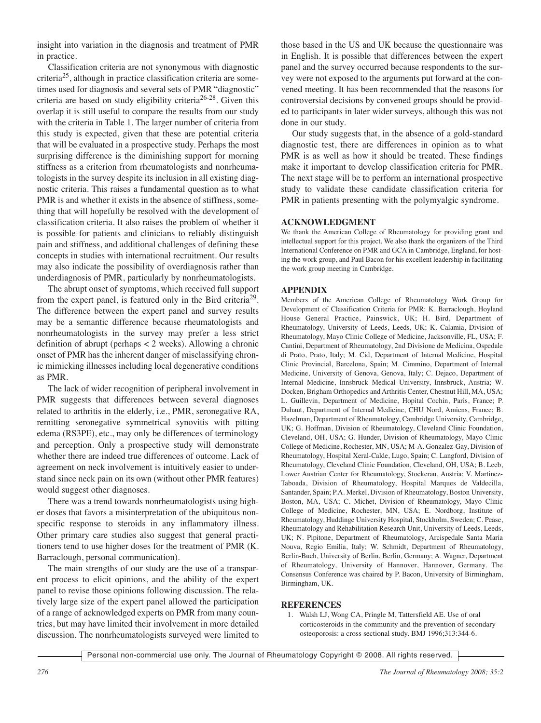insight into variation in the diagnosis and treatment of PMR in practice.

Classification criteria are not synonymous with diagnostic criteria25, although in practice classification criteria are sometimes used for diagnosis and several sets of PMR "diagnostic" criteria are based on study eligibility criteria<sup>26-28</sup>. Given this overlap it is still useful to compare the results from our study with the criteria in Table 1. The larger number of criteria from this study is expected, given that these are potential criteria that will be evaluated in a prospective study. Perhaps the most surprising difference is the diminishing support for morning stiffness as a criterion from rheumatologists and nonrheumatologists in the survey despite its inclusion in all existing diagnostic criteria. This raises a fundamental question as to what PMR is and whether it exists in the absence of stiffness, something that will hopefully be resolved with the development of classification criteria. It also raises the problem of whether it is possible for patients and clinicians to reliably distinguish pain and stiffness, and additional challenges of defining these concepts in studies with international recruitment. Our results may also indicate the possibility of overdiagnosis rather than underdiagnosis of PMR, particularly by nonrheumatologists.

The abrupt onset of symptoms, which received full support from the expert panel, is featured only in the Bird criteria29. The difference between the expert panel and survey results may be a semantic difference because rheumatologists and nonrheumatologists in the survey may prefer a less strict definition of abrupt (perhaps < 2 weeks). Allowing a chronic onset of PMR has the inherent danger of misclassifying chronic mimicking illnesses including local degenerative conditions as PMR.

The lack of wider recognition of peripheral involvement in PMR suggests that differences between several diagnoses related to arthritis in the elderly, i.e., PMR, seronegative RA, remitting seronegative symmetrical synovitis with pitting edema (RS3PE), etc., may only be differences of terminology and perception. Only a prospective study will demonstrate whether there are indeed true differences of outcome. Lack of agreement on neck involvement is intuitively easier to understand since neck pain on its own (without other PMR features) would suggest other diagnoses.

There was a trend towards nonrheumatologists using higher doses that favors a misinterpretation of the ubiquitous nonspecific response to steroids in any inflammatory illness. Other primary care studies also suggest that general practitioners tend to use higher doses for the treatment of PMR (K. Barraclough, personal communication).

The main strengths of our study are the use of a transparent process to elicit opinions, and the ability of the expert panel to revise those opinions following discussion. The relatively large size of the expert panel allowed the participation of a range of acknowledged experts on PMR from many countries, but may have limited their involvement in more detailed discussion. The nonrheumatologists surveyed were limited to those based in the US and UK because the questionnaire was in English. It is possible that differences between the expert panel and the survey occurred because respondents to the survey were not exposed to the arguments put forward at the convened meeting. It has been recommended that the reasons for controversial decisions by convened groups should be provided to participants in later wider surveys, although this was not done in our study.

Our study suggests that, in the absence of a gold-standard diagnostic test, there are differences in opinion as to what PMR is as well as how it should be treated. These findings make it important to develop classification criteria for PMR. The next stage will be to perform an international prospective study to validate these candidate classification criteria for PMR in patients presenting with the polymyalgic syndrome.

# **ACKNOWLEDGMENT**

We thank the American College of Rheumatology for providing grant and intellectual support for this project. We also thank the organizers of the Third International Conference on PMR and GCA in Cambridge, England, for hosting the work group, and Paul Bacon for his excellent leadership in facilitating the work group meeting in Cambridge.

# **APPENDIX**

Members of the American College of Rheumatology Work Group for Development of Classification Criteria for PMR: K. Barraclough, Hoyland House General Practice, Painswick, UK; H. Bird, Department of Rheumatology, University of Leeds, Leeds, UK; K. Calamia, Division of Rheumatology, Mayo Clinic College of Medicine, Jacksonville, FL, USA; F. Cantini, Department of Rheumatology, 2nd Divisione de Medicina, Ospedale di Prato, Prato, Italy; M. Cid, Department of Internal Medicine, Hospital Clinic Provincial, Barcelona, Spain; M. Cimmino, Department of Internal Medicine, University of Genova, Genova, Italy; C. Dejaco, Department of Internal Medicine, Innsbruck Medical University, Innsbruck, Austria; W. Docken, Brigham Orthopedics and Arthritis Center, Chestnut Hill, MA, USA; L. Guillevin, Department of Medicine, Hopital Cochin, Paris, France; P. Duhaut, Department of Internal Medicine, CHU Nord, Amiens, France; B. Hazelman, Department of Rheumatology, Cambridge University, Cambridge, UK; G. Hoffman, Division of Rheumatology, Cleveland Clinic Foundation, Cleveland, OH, USA; G. Hunder, Division of Rheumatology, Mayo Clinic College of Medicine, Rochester, MN, USA; M-A. Gonzalez-Gay, Division of Rheumatology, Hospital Xeral-Calde, Lugo, Spain; C. Langford, Division of Rheumatology, Cleveland Clinic Foundation, Cleveland, OH, USA; B. Leeb, Lower Austrian Center for Rheumatology, Stockerau, Austria; V. Martinez-Taboada, Division of Rheumatology, Hospital Marques de Valdecilla, Santander, Spain; P.A. Merkel, Division of Rheumatology, Boston University, Boston, MA, USA; C. Michet, Division of Rheumatology, Mayo Clinic College of Medicine, Rochester, MN, USA; E. Nordborg, Institute of Rheumatology, Huddinge University Hospital, Stockholm, Sweden; C. Pease, Rheumatology and Rehabilitation Research Unit, University of Leeds, Leeds, UK; N. Pipitone, Department of Rheumatology, Arcispedale Santa Maria Nouva, Regio Emilia, Italy; W. Schmidt, Department of Rheumatology, Berlin-Buch, University of Berlin, Berlin, Germany; A. Wagner, Department of Rheumatology, University of Hannover, Hannover, Germany. The Consensus Conference was chaired by P. Bacon, University of Birmingham, Birmingham, UK.

## **REFERENCES**

1. Walsh LJ, Wong CA, Pringle M, Tattersfield AE. Use of oral corticosteroids in the community and the prevention of secondary osteoporosis: a cross sectional study. BMJ 1996;313:344-6.